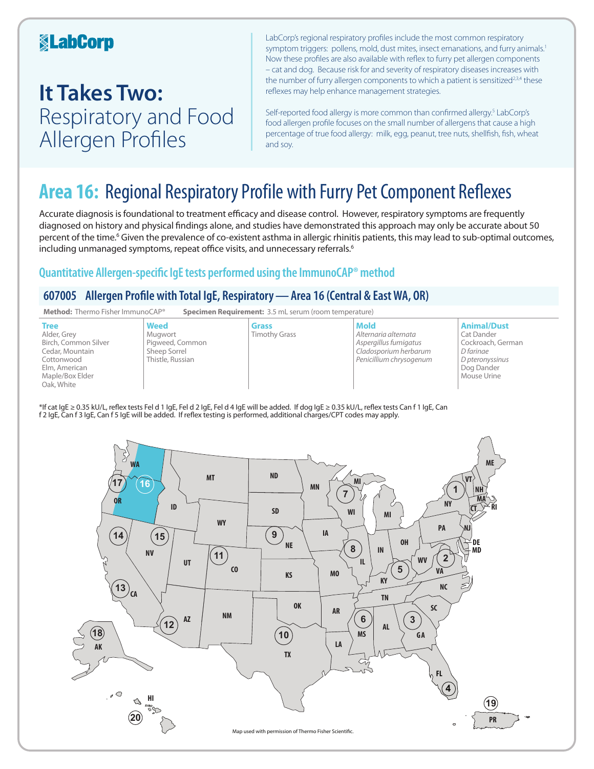### **KabCorp**

## **It Takes Two:**  Respiratory and Food Allergen Profiles

LabCorp's regional respiratory profiles include the most common respiratory symptom triggers: pollens, mold, dust mites, insect emanations, and furry animals.<sup>1</sup> Now these profiles are also available with reflex to furry pet allergen components – cat and dog. Because risk for and severity of respiratory diseases increases with the number of furry allergen components to which a patient is sensitized<sup>2,3,4</sup> these reflexes may help enhance management strategies.

Self-reported food allergy is more common than confirmed allergy.<sup>5</sup> LabCorp's food allergen profile focuses on the small number of allergens that cause a high percentage of true food allergy: milk, egg, peanut, tree nuts, shellfish, fish, wheat and soy.

## **Area 16:** Regional Respiratory Profile with Furry Pet Component Reflexes

Accurate diagnosis is foundational to treatment efficacy and disease control. However, respiratory symptoms are frequently diagnosed on history and physical findings alone, and studies have demonstrated this approach may only be accurate about 50 percent of the time.<sup>6</sup> Given the prevalence of co-existent asthma in allergic rhinitis patients, this may lead to sub-optimal outcomes, including unmanaged symptoms, repeat office visits, and unnecessary referrals.<sup>6</sup>

### **Quantitative Allergen-specific IgE tests performed using the ImmunoCAP® method**

### **607005 Allergen Profile with Total IgE, Respiratory—Area 16 (Central & East WA, OR)**



\*If cat IgE ≥ 0.35 kU/L, reflex tests Fel d 1 IgE, Fel d 2 IgE, Fel d 4 IgE will be added. If dog IgE ≥ 0.35 kU/L, reflex tests Can f 1 IgE, Can f 2 IgE, Can f 3 IgE, Can f 5 IgE will be added. If reflex testing is performed, additional charges/CPT codes may apply.